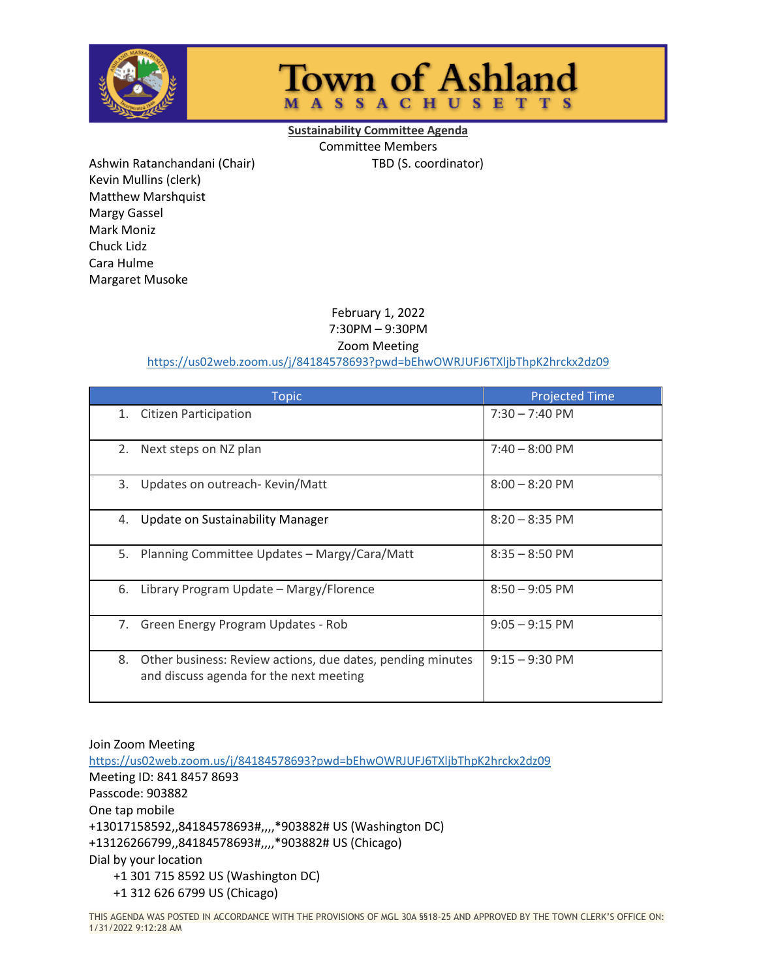

## **Town of Ashland MASSACHUSETTS**

**Sustainability Committee Agenda** Committee Members Ashwin Ratanchandani (Chair) TBD (S. coordinator)

Kevin Mullins (clerk) Matthew Marshquist Margy Gassel Mark Moniz Chuck Lidz Cara Hulme Margaret Musoke

> February 1, 2022 7:30PM – 9:30PM

Zoom Meeting

<https://us02web.zoom.us/j/84184578693?pwd=bEhwOWRJUFJ6TXljbThpK2hrckx2dz09>

| <b>Topic</b>                                                                                                | <b>Projected Time</b>    |
|-------------------------------------------------------------------------------------------------------------|--------------------------|
| <b>Citizen Participation</b><br>1.                                                                          | $7:30 - 7:40 \text{ PM}$ |
| 2.<br>Next steps on NZ plan                                                                                 | $7:40 - 8:00$ PM         |
| 3.<br>Updates on outreach- Kevin/Matt                                                                       | $8:00 - 8:20$ PM         |
| Update on Sustainability Manager<br>4.                                                                      | $8:20 - 8:35$ PM         |
| 5.<br>Planning Committee Updates - Margy/Cara/Matt                                                          | $8:35 - 8:50$ PM         |
| 6.<br>Library Program Update - Margy/Florence                                                               | $8:50 - 9:05$ PM         |
| Green Energy Program Updates - Rob<br>7.                                                                    | $9:05 - 9:15$ PM         |
| 8.<br>Other business: Review actions, due dates, pending minutes<br>and discuss agenda for the next meeting | $9:15 - 9:30$ PM         |

Join Zoom Meeting <https://us02web.zoom.us/j/84184578693?pwd=bEhwOWRJUFJ6TXljbThpK2hrckx2dz09> Meeting ID: 841 8457 8693 Passcode: 903882 One tap mobile +13017158592,,84184578693#,,,,\*903882# US (Washington DC) +13126266799,,84184578693#,,,,\*903882# US (Chicago) Dial by your location +1 301 715 8592 US (Washington DC) +1 312 626 6799 US (Chicago)